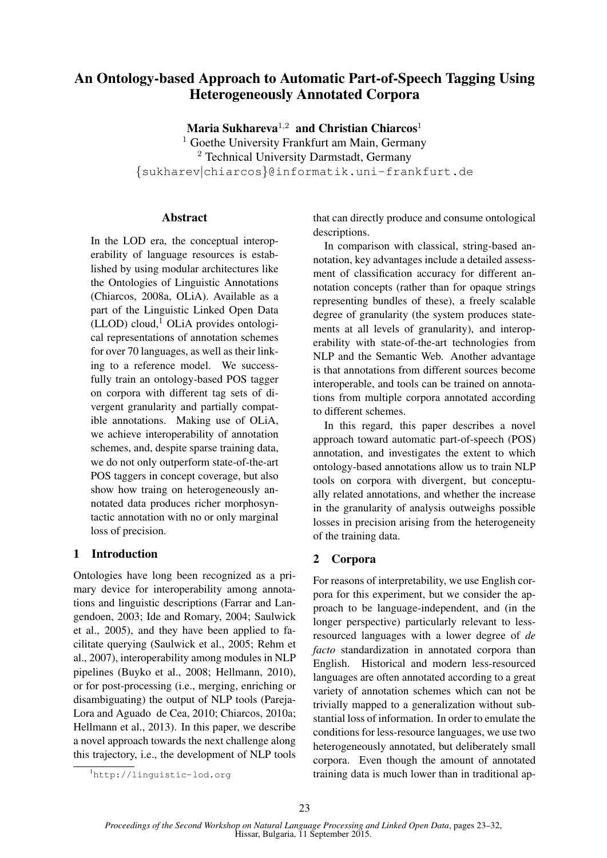# An Ontology-based Approach to Automatic Part-of-Speech Tagging Using Heterogeneously Annotated Corpora

Maria Sukhareva<sup>1,2</sup> and Christian Chiarcos<sup>1</sup>

<sup>1</sup> Goethe University Frankfurt am Main, Germany <sup>2</sup> Technical University Darmstadt, Germany {sukharev|chiarcos}@informatik.uni-frankfurt.de

## Abstract

In the LOD era, the conceptual interoperability of language resources is established by using modular architectures like the Ontologies of Linguistic Annotations (Chiarcos, 2008a, OLiA). Available as a part of the Linguistic Linked Open Data  $(LLOD)$  cloud,<sup>1</sup> OLiA provides ontological representations of annotation schemes for over 70 languages, as well as their linking to a reference model. We successfully train an ontology-based POS tagger on corpora with different tag sets of divergent granularity and partially compatible annotations. Making use of OLiA, we achieve interoperability of annotation schemes, and, despite sparse training data, we do not only outperform state-of-the-art POS taggers in concept coverage, but also show how traing on heterogeneously annotated data produces richer morphosyntactic annotation with no or only marginal loss of precision.

## 1 Introduction

Ontologies have long been recognized as a primary device for interoperability among annotations and linguistic descriptions (Farrar and Langendoen, 2003; Ide and Romary, 2004; Saulwick et al., 2005), and they have been applied to facilitate querying (Saulwick et al., 2005; Rehm et al., 2007), interoperability among modules in NLP pipelines (Buyko et al., 2008; Hellmann, 2010), or for post-processing (i.e., merging, enriching or disambiguating) the output of NLP tools (Pareja-Lora and Aguado de Cea, 2010; Chiarcos, 2010a; Hellmann et al., 2013). In this paper, we describe a novel approach towards the next challenge along this trajectory, i.e., the development of NLP tools

In comparison with classical, string-based annotation, key advantages include a detailed assessment of classification accuracy for different annotation concepts (rather than for opaque strings representing bundles of these), a freely scalable degree of granularity (the system produces statements at all levels of granularity), and interoperability with state-of-the-art technologies from NLP and the Semantic Web. Another advantage is that annotations from different sources become interoperable, and tools can be trained on annotations from multiple corpora annotated according to different schemes.

In this regard, this paper describes a novel approach toward automatic part-of-speech (POS) annotation, and investigates the extent to which ontology-based annotations allow us to train NLP tools on corpora with divergent, but conceptually related annotations, and whether the increase in the granularity of analysis outweighs possible losses in precision arising from the heterogeneity of the training data.

## 2 Corpora

For reasons of interpretability, we use English corpora for this experiment, but we consider the approach to be language-independent, and (in the longer perspective) particularly relevant to lessresourced languages with a lower degree of *de facto* standardization in annotated corpora than English. Historical and modern less-resourced languages are often annotated according to a great variety of annotation schemes which can not be trivially mapped to a generalization without substantial loss of information. In order to emulate the conditions for less-resource languages, we use two heterogeneously annotated, but deliberately small corpora. Even though the amount of annotated training data is much lower than in traditional ap-

that can directly produce and consume ontological descriptions.

<sup>1</sup>http://linguistic-lod.org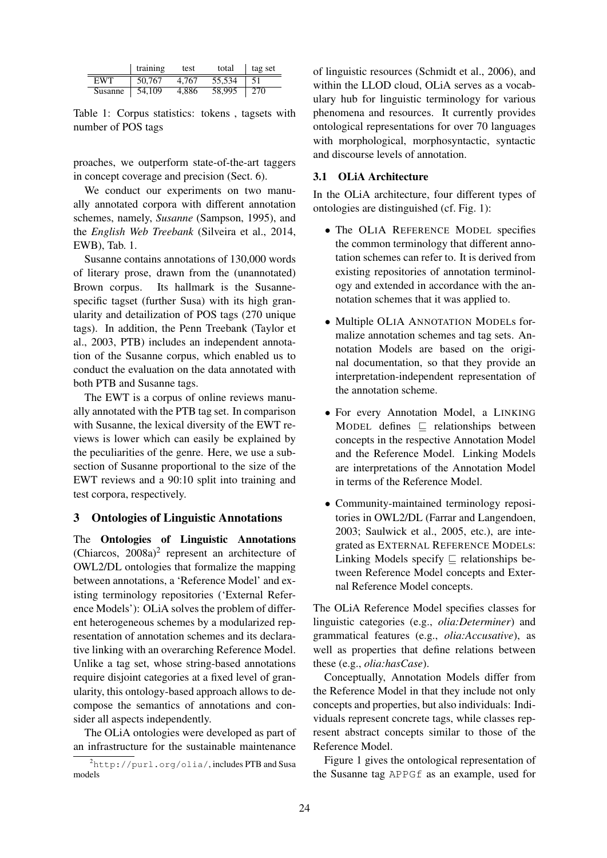|            | training | test  | total  | tag set |
|------------|----------|-------|--------|---------|
| <b>EWT</b> | 50,767   | 4.767 | 55.534 | 51      |
| Susanne    | 54,109   | 4.886 | 58,995 | 270     |

Table 1: Corpus statistics: tokens , tagsets with number of POS tags

proaches, we outperform state-of-the-art taggers in concept coverage and precision (Sect. 6).

We conduct our experiments on two manually annotated corpora with different annotation schemes, namely, *Susanne* (Sampson, 1995), and the *English Web Treebank* (Silveira et al., 2014, EWB), Tab. 1.

Susanne contains annotations of 130,000 words of literary prose, drawn from the (unannotated) Brown corpus. Its hallmark is the Susannespecific tagset (further Susa) with its high granularity and detailization of POS tags (270 unique tags). In addition, the Penn Treebank (Taylor et al., 2003, PTB) includes an independent annotation of the Susanne corpus, which enabled us to conduct the evaluation on the data annotated with both PTB and Susanne tags.

The EWT is a corpus of online reviews manually annotated with the PTB tag set. In comparison with Susanne, the lexical diversity of the EWT reviews is lower which can easily be explained by the peculiarities of the genre. Here, we use a subsection of Susanne proportional to the size of the EWT reviews and a 90:10 split into training and test corpora, respectively.

### 3 Ontologies of Linguistic Annotations

The Ontologies of Linguistic Annotations (Chiarcos,  $2008a$ )<sup>2</sup> represent an architecture of OWL2/DL ontologies that formalize the mapping between annotations, a 'Reference Model' and existing terminology repositories ('External Reference Models'): OLiA solves the problem of different heterogeneous schemes by a modularized representation of annotation schemes and its declarative linking with an overarching Reference Model. Unlike a tag set, whose string-based annotations require disjoint categories at a fixed level of granularity, this ontology-based approach allows to decompose the semantics of annotations and consider all aspects independently.

The OLiA ontologies were developed as part of an infrastructure for the sustainable maintenance

of linguistic resources (Schmidt et al., 2006), and within the LLOD cloud, OLiA serves as a vocabulary hub for linguistic terminology for various phenomena and resources. It currently provides ontological representations for over 70 languages with morphological, morphosyntactic, syntactic and discourse levels of annotation.

#### 3.1 OLiA Architecture

In the OLiA architecture, four different types of ontologies are distinguished (cf. Fig. 1):

- The OLIA REFERENCE MODEL specifies the common terminology that different annotation schemes can refer to. It is derived from existing repositories of annotation terminology and extended in accordance with the annotation schemes that it was applied to.
- Multiple OLIA ANNOTATION MODELs formalize annotation schemes and tag sets. Annotation Models are based on the original documentation, so that they provide an interpretation-independent representation of the annotation scheme.
- For every Annotation Model, a LINKING MODEL defines  $\sqsubseteq$  relationships between concepts in the respective Annotation Model and the Reference Model. Linking Models are interpretations of the Annotation Model in terms of the Reference Model.
- Community-maintained terminology repositories in OWL2/DL (Farrar and Langendoen, 2003; Saulwick et al., 2005, etc.), are integrated as EXTERNAL REFERENCE MODELs: Linking Models specify  $\sqsubseteq$  relationships between Reference Model concepts and External Reference Model concepts.

The OLiA Reference Model specifies classes for linguistic categories (e.g., *olia:Determiner*) and grammatical features (e.g., *olia:Accusative*), as well as properties that define relations between these (e.g., *olia:hasCase*).

Conceptually, Annotation Models differ from the Reference Model in that they include not only concepts and properties, but also individuals: Individuals represent concrete tags, while classes represent abstract concepts similar to those of the Reference Model.

Figure 1 gives the ontological representation of the Susanne tag APPGf as an example, used for

<sup>2</sup>http://purl.org/olia/, includes PTB and Susa models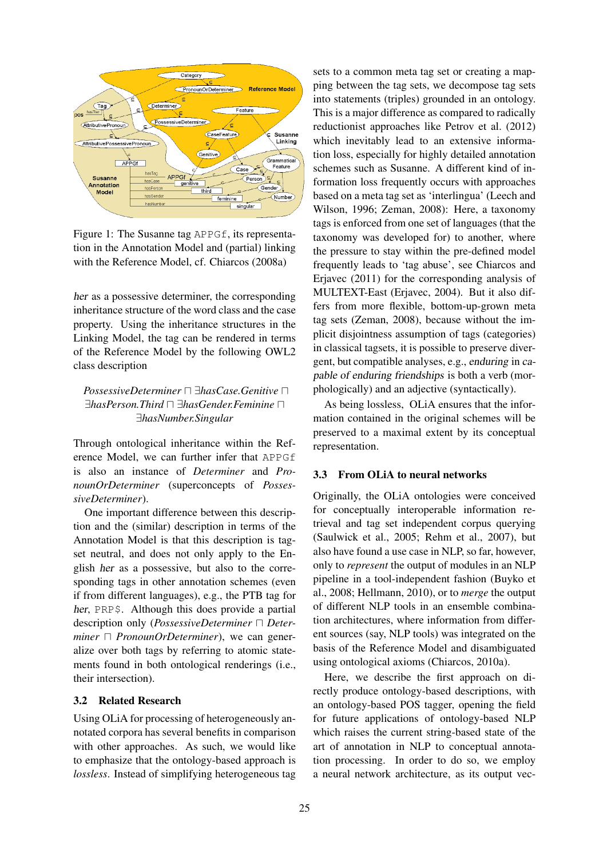

Figure 1: The Susanne tag APPGf, its representation in the Annotation Model and (partial) linking with the Reference Model, cf. Chiarcos (2008a)

her as a possessive determiner, the corresponding inheritance structure of the word class and the case property. Using the inheritance structures in the Linking Model, the tag can be rendered in terms of the Reference Model by the following OWL2 class description

## *PossessiveDeterminer*  $\Box$ *∃hasCase.Genitive*  $\Box$ ∃*hasPerson.Third* u ∃*hasGender.Feminine* u ∃*hasNumber.Singular*

Through ontological inheritance within the Reference Model, we can further infer that APPGf is also an instance of *Determiner* and *PronounOrDeterminer* (superconcepts of *PossessiveDeterminer*).

One important difference between this description and the (similar) description in terms of the Annotation Model is that this description is tagset neutral, and does not only apply to the English her as a possessive, but also to the corresponding tags in other annotation schemes (even if from different languages), e.g., the PTB tag for her, PRP\$. Although this does provide a partial description only (*PossessiveDeterminer* □ *Determiner*  $\Box$  *PronounOrDeterminer*), we can generalize over both tags by referring to atomic statements found in both ontological renderings (i.e., their intersection).

## 3.2 Related Research

Using OLiA for processing of heterogeneously annotated corpora has several benefits in comparison with other approaches. As such, we would like to emphasize that the ontology-based approach is *lossless*. Instead of simplifying heterogeneous tag sets to a common meta tag set or creating a mapping between the tag sets, we decompose tag sets into statements (triples) grounded in an ontology. This is a major difference as compared to radically reductionist approaches like Petrov et al. (2012) which inevitably lead to an extensive information loss, especially for highly detailed annotation schemes such as Susanne. A different kind of information loss frequently occurs with approaches based on a meta tag set as 'interlingua' (Leech and Wilson, 1996; Zeman, 2008): Here, a taxonomy tags is enforced from one set of languages (that the taxonomy was developed for) to another, where the pressure to stay within the pre-defined model frequently leads to 'tag abuse', see Chiarcos and Erjavec (2011) for the corresponding analysis of MULTEXT-East (Erjavec, 2004). But it also differs from more flexible, bottom-up-grown meta tag sets (Zeman, 2008), because without the implicit disjointness assumption of tags (categories) in classical tagsets, it is possible to preserve divergent, but compatible analyses, e.g., enduring in capable of enduring friendships is both a verb (morphologically) and an adjective (syntactically).

As being lossless, OLiA ensures that the information contained in the original schemes will be preserved to a maximal extent by its conceptual representation.

#### 3.3 From OLiA to neural networks

Originally, the OLiA ontologies were conceived for conceptually interoperable information retrieval and tag set independent corpus querying (Saulwick et al., 2005; Rehm et al., 2007), but also have found a use case in NLP, so far, however, only to *represent* the output of modules in an NLP pipeline in a tool-independent fashion (Buyko et al., 2008; Hellmann, 2010), or to *merge* the output of different NLP tools in an ensemble combination architectures, where information from different sources (say, NLP tools) was integrated on the basis of the Reference Model and disambiguated using ontological axioms (Chiarcos, 2010a).

Here, we describe the first approach on directly produce ontology-based descriptions, with an ontology-based POS tagger, opening the field for future applications of ontology-based NLP which raises the current string-based state of the art of annotation in NLP to conceptual annotation processing. In order to do so, we employ a neural network architecture, as its output vec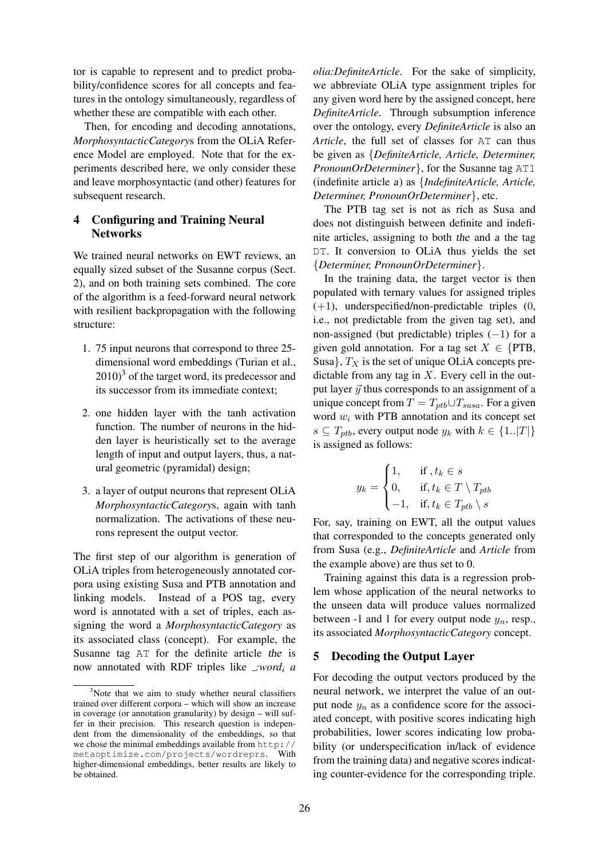tor is capable to represent and to predict probability/confidence scores for all concepts and features in the ontology simultaneously, regardless of whether these are compatible with each other.

Then, for encoding and decoding annotations, *MorphosyntacticCategory*s from the OLiA Reference Model are employed. Note that for the experiments described here, we only consider these and leave morphosyntactic (and other) features for subsequent research.

## 4 Configuring and Training Neural **Networks**

We trained neural networks on EWT reviews, an equally sized subset of the Susanne corpus (Sect. 2), and on both training sets combined. The core of the algorithm is a feed-forward neural network with resilient backpropagation with the following structure:

- 1. 75 input neurons that correspond to three 25 dimensional word embeddings (Turian et al.,  $(2010)^3$  of the target word, its predecessor and its successor from its immediate context;
- 2. one hidden layer with the tanh activation function. The number of neurons in the hidden layer is heuristically set to the average length of input and output layers, thus, a natural geometric (pyramidal) design;
- 3. a layer of output neurons that represent OLiA *MorphosyntacticCategory*s, again with tanh normalization. The activations of these neurons represent the output vector.

The first step of our algorithm is generation of OLiA triples from heterogeneously annotated corpora using existing Susa and PTB annotation and linking models. Instead of a POS tag, every word is annotated with a set of triples, each assigning the word a *MorphosyntacticCategory* as its associated class (concept). For example, the Susanne tag AT for the definite article the is now annotated with RDF triples like *:word*<sub>i</sub> *a* 

*olia:DefiniteArticle*. For the sake of simplicity, we abbreviate OLiA type assignment triples for any given word here by the assigned concept, here *DefiniteArticle*. Through subsumption inference over the ontology, every *DefiniteArticle* is also an *Article*, the full set of classes for AT can thus be given as {*DefiniteArticle, Article, Determiner, PronounOrDeterminer*}, for the Susanne tag AT1 (indefinite article a) as {*IndefiniteArticle, Article, Determiner, PronounOrDeterminer*}, etc.

The PTB tag set is not as rich as Susa and does not distinguish between definite and indefinite articles, assigning to both the and a the tag DT. It conversion to OLiA thus yields the set {*Determiner, PronounOrDeterminer*}.

In the training data, the target vector is then populated with ternary values for assigned triples  $(+1)$ , underspecified/non-predictable triples  $(0, 0)$ i.e., not predictable from the given tag set), and non-assigned (but predictable) triples  $(-1)$  for a given gold annotation. For a tag set  $X \in \{PTB,$ Susa},  $T_X$  is the set of unique OLiA concepts predictable from any tag in  $X$ . Every cell in the output layer  $\vec{y}$  thus corresponds to an assignment of a unique concept from  $T = T_{ptb} \cup T_{susa}$ . For a given word  $w_i$  with PTB annotation and its concept set  $s \subseteq T_{ptb}$ , every output node  $y_k$  with  $k \in \{1..|T|\}$ is assigned as follows:

$$
y_k = \begin{cases} 1, & \text{if } , t_k \in s \\ 0, & \text{if } , t_k \in T \setminus T_{ptb} \\ -1, & \text{if } , t_k \in T_{ptb} \setminus s \end{cases}
$$

For, say, training on EWT, all the output values that corresponded to the concepts generated only from Susa (e.g., *DefiniteArticle* and *Article* from the example above) are thus set to 0.

Training against this data is a regression problem whose application of the neural networks to the unseen data will produce values normalized between -1 and 1 for every output node  $y_n$ , resp., its associated *MorphosyntacticCategory* concept.

## 5 Decoding the Output Layer

For decoding the output vectors produced by the neural network, we interpret the value of an output node  $y_n$  as a confidence score for the associated concept, with positive scores indicating high probabilities, lower scores indicating low probability (or underspecification in/lack of evidence from the training data) and negative scores indicating counter-evidence for the corresponding triple.

<sup>&</sup>lt;sup>3</sup>Note that we aim to study whether neural classifiers trained over different corpora – which will show an increase in coverage (or annotation granularity) by design – will suffer in their precision. This research question is independent from the dimensionality of the embeddings, so that we chose the minimal embeddings available from http:// metaoptimize.com/projects/wordreprs. With higher-dimensional embeddings, better results are likely to be obtained.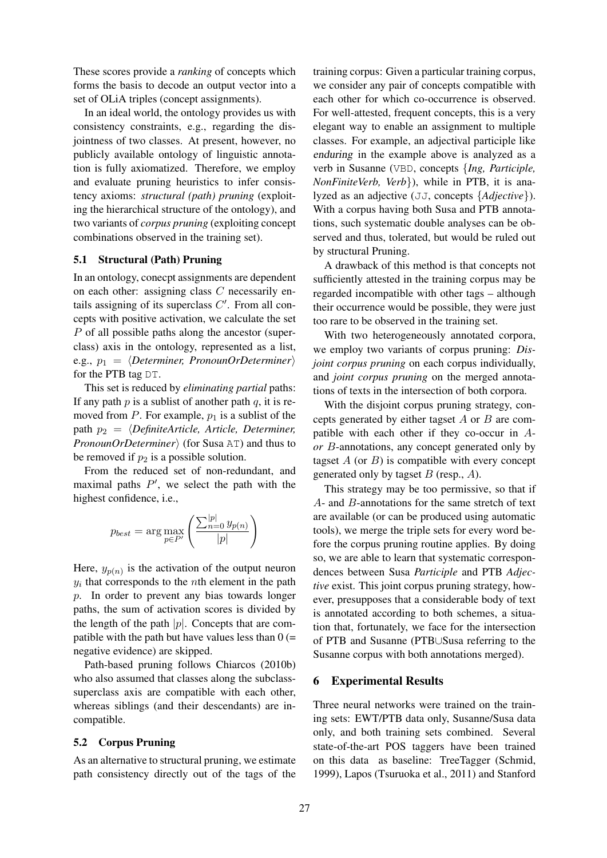These scores provide a *ranking* of concepts which forms the basis to decode an output vector into a set of OLiA triples (concept assignments).

In an ideal world, the ontology provides us with consistency constraints, e.g., regarding the disjointness of two classes. At present, however, no publicly available ontology of linguistic annotation is fully axiomatized. Therefore, we employ and evaluate pruning heuristics to infer consistency axioms: *structural (path) pruning* (exploiting the hierarchical structure of the ontology), and two variants of *corpus pruning* (exploiting concept combinations observed in the training set).

#### 5.1 Structural (Path) Pruning

In an ontology, conecpt assignments are dependent on each other: assigning class  $C$  necessarily entails assigning of its superclass  $C'$ . From all concepts with positive activation, we calculate the set P of all possible paths along the ancestor (superclass) axis in the ontology, represented as a list, e.g.,  $p_1 = \langle Determiner, PronounOrDeterminer \rangle$ for the PTB tag DT.

This set is reduced by *eliminating partial* paths: If any path  $p$  is a sublist of another path  $q$ , it is removed from  $P$ . For example,  $p_1$  is a sublist of the path  $p_2 = \langle DefiniteArticle, Article, Determine,$ *PronounOrDeterminer*) (for Susa AT) and thus to be removed if  $p_2$  is a possible solution.

From the reduced set of non-redundant, and maximal paths  $P'$ , we select the path with the highest confidence, i.e.,

$$
p_{best} = \arg \max_{p \in P'} \left( \frac{\sum_{n=0}^{|p|} y_{p(n)}}{|p|} \right)
$$

Here,  $y_{p(n)}$  is the activation of the output neuron  $y_i$  that corresponds to the *n*th element in the path p. In order to prevent any bias towards longer paths, the sum of activation scores is divided by the length of the path  $|p|$ . Concepts that are compatible with the path but have values less than  $0$  (= negative evidence) are skipped.

Path-based pruning follows Chiarcos (2010b) who also assumed that classes along the subclasssuperclass axis are compatible with each other, whereas siblings (and their descendants) are incompatible.

#### 5.2 Corpus Pruning

As an alternative to structural pruning, we estimate path consistency directly out of the tags of the training corpus: Given a particular training corpus, we consider any pair of concepts compatible with each other for which co-occurrence is observed. For well-attested, frequent concepts, this is a very elegant way to enable an assignment to multiple classes. For example, an adjectival participle like enduring in the example above is analyzed as a verb in Susanne (VBD, concepts {*Ing, Participle, NonFiniteVerb, Verb*}), while in PTB, it is analyzed as an adjective (JJ, concepts {*Adjective*}). With a corpus having both Susa and PTB annotations, such systematic double analyses can be observed and thus, tolerated, but would be ruled out by structural Pruning.

A drawback of this method is that concepts not sufficiently attested in the training corpus may be regarded incompatible with other tags – although their occurrence would be possible, they were just too rare to be observed in the training set.

With two heterogeneously annotated corpora, we employ two variants of corpus pruning: *Disjoint corpus pruning* on each corpus individually, and *joint corpus pruning* on the merged annotations of texts in the intersection of both corpora.

With the disjoint corpus pruning strategy, concepts generated by either tagset  $A$  or  $B$  are compatible with each other if they co-occur in A*or* B-annotations, any concept generated only by tagset  $A$  (or  $B$ ) is compatible with every concept generated only by tagset  $B$  (resp.,  $A$ ).

This strategy may be too permissive, so that if A- and B-annotations for the same stretch of text are available (or can be produced using automatic tools), we merge the triple sets for every word before the corpus pruning routine applies. By doing so, we are able to learn that systematic correspondences between Susa *Participle* and PTB *Adjective* exist. This joint corpus pruning strategy, however, presupposes that a considerable body of text is annotated according to both schemes, a situation that, fortunately, we face for the intersection of PTB and Susanne (PTB∪Susa referring to the Susanne corpus with both annotations merged).

#### 6 Experimental Results

Three neural networks were trained on the training sets: EWT/PTB data only, Susanne/Susa data only, and both training sets combined. Several state-of-the-art POS taggers have been trained on this data as baseline: TreeTagger (Schmid, 1999), Lapos (Tsuruoka et al., 2011) and Stanford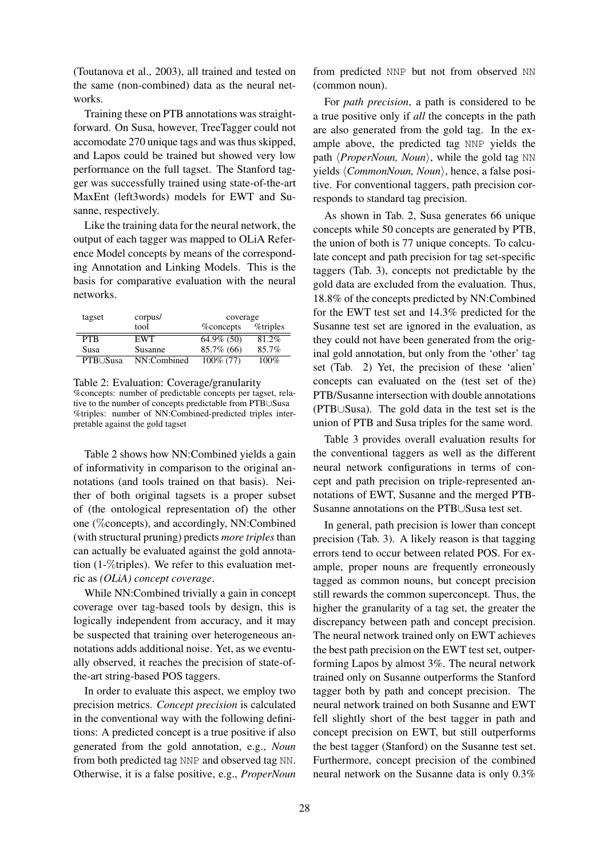(Toutanova et al., 2003), all trained and tested on the same (non-combined) data as the neural networks.

Training these on PTB annotations was straightforward. On Susa, however, TreeTagger could not accomodate 270 unique tags and was thus skipped, and Lapos could be trained but showed very low performance on the full tagset. The Stanford tagger was successfully trained using state-of-the-art MaxEnt (left3words) models for EWT and Susanne, respectively.

Like the training data for the neural network, the output of each tagger was mapped to OLiA Reference Model concepts by means of the corresponding Annotation and Linking Models. This is the basis for comparative evaluation with the neural networks.

| tagset      | corpus/     | coverage          |          |  |
|-------------|-------------|-------------------|----------|--|
|             | tool        | <b>%</b> concepts | %triples |  |
| <b>PTR</b>  | <b>EWT</b>  | 64.9% (50)        | 81.2%    |  |
| <b>Susa</b> | Susanne     | $85.7\%$ (66)     | 85.7%    |  |
| PTB∪Susa    | NN:Combined | $100\%$ (77)      | $100\%$  |  |

Table 2: Evaluation: Coverage/granularity %concepts: number of predictable concepts per tagset, relative to the number of concepts predictable from PTB∪Susa %triples: number of NN:Combined-predicted triples interpretable against the gold tagset

Table 2 shows how NN:Combined yields a gain of informativity in comparison to the original annotations (and tools trained on that basis). Neither of both original tagsets is a proper subset of (the ontological representation of) the other one (%concepts), and accordingly, NN:Combined (with structural pruning) predicts *more triples* than can actually be evaluated against the gold annotation (1-%triples). We refer to this evaluation metric as *(OLiA) concept coverage*.

While NN:Combined trivially a gain in concept coverage over tag-based tools by design, this is logically independent from accuracy, and it may be suspected that training over heterogeneous annotations adds additional noise. Yet, as we eventually observed, it reaches the precision of state-ofthe-art string-based POS taggers.

In order to evaluate this aspect, we employ two precision metrics. *Concept precision* is calculated in the conventional way with the following definitions: A predicted concept is a true positive if also generated from the gold annotation, e.g., *Noun* from both predicted tag NNP and observed tag NN. Otherwise, it is a false positive, e.g., *ProperNoun*

from predicted NNP but not from observed NN (common noun).

For *path precision*, a path is considered to be a true positive only if *all* the concepts in the path are also generated from the gold tag. In the example above, the predicted tag NNP yields the path *\ProperNoun, Noun*}, while the gold tag NN yields *(CommonNoun, Noun)*, hence, a false positive. For conventional taggers, path precision corresponds to standard tag precision.

As shown in Tab. 2, Susa generates 66 unique concepts while 50 concepts are generated by PTB, the union of both is 77 unique concepts. To calculate concept and path precision for tag set-specific taggers (Tab. 3), concepts not predictable by the gold data are excluded from the evaluation. Thus, 18.8% of the concepts predicted by NN:Combined for the EWT test set and 14.3% predicted for the Susanne test set are ignored in the evaluation, as they could not have been generated from the original gold annotation, but only from the 'other' tag set (Tab. 2) Yet, the precision of these 'alien' concepts can evaluated on the (test set of the) PTB/Susanne intersection with double annotations (PTB∪Susa). The gold data in the test set is the union of PTB and Susa triples for the same word.

Table 3 provides overall evaluation results for the conventional taggers as well as the different neural network configurations in terms of concept and path precision on triple-represented annotations of EWT, Susanne and the merged PTB-Susanne annotations on the PTB∪Susa test set.

In general, path precision is lower than concept precision (Tab. 3). A likely reason is that tagging errors tend to occur between related POS. For example, proper nouns are frequently erroneously tagged as common nouns, but concept precision still rewards the common superconcept. Thus, the higher the granularity of a tag set, the greater the discrepancy between path and concept precision. The neural network trained only on EWT achieves the best path precision on the EWT test set, outperforming Lapos by almost 3%. The neural network trained only on Susanne outperforms the Stanford tagger both by path and concept precision. The neural network trained on both Susanne and EWT fell slightly short of the best tagger in path and concept precision on EWT, but still outperforms the best tagger (Stanford) on the Susanne test set. Furthermore, concept precision of the combined neural network on the Susanne data is only 0.3%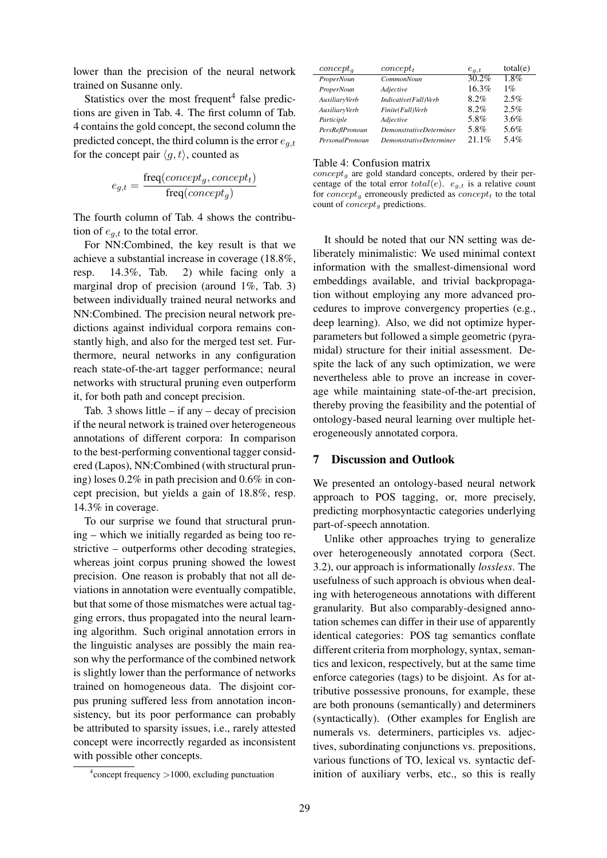lower than the precision of the neural network trained on Susanne only.

Statistics over the most frequent<sup>4</sup> false predictions are given in Tab. 4. The first column of Tab. 4 contains the gold concept, the second column the predicted concept, the third column is the error  $e_{a,t}$ for the concept pair  $\langle q, t \rangle$ , counted as

$$
e_{g,t} = \frac{\text{freq}(concept_g, concept_t)}{\text{freq}(concept_g)}
$$

The fourth column of Tab. 4 shows the contribution of  $e_{q,t}$  to the total error.

For NN:Combined, the key result is that we achieve a substantial increase in coverage (18.8%, resp. 14.3%, Tab. 2) while facing only a marginal drop of precision (around 1%, Tab. 3) between individually trained neural networks and NN:Combined. The precision neural network predictions against individual corpora remains constantly high, and also for the merged test set. Furthermore, neural networks in any configuration reach state-of-the-art tagger performance; neural networks with structural pruning even outperform it, for both path and concept precision.

Tab. 3 shows little  $-$  if any  $-$  decay of precision if the neural network is trained over heterogeneous annotations of different corpora: In comparison to the best-performing conventional tagger considered (Lapos), NN:Combined (with structural pruning) loses 0.2% in path precision and 0.6% in concept precision, but yields a gain of 18.8%, resp. 14.3% in coverage.

To our surprise we found that structural pruning – which we initially regarded as being too restrictive – outperforms other decoding strategies, whereas joint corpus pruning showed the lowest precision. One reason is probably that not all deviations in annotation were eventually compatible, but that some of those mismatches were actual tagging errors, thus propagated into the neural learning algorithm. Such original annotation errors in the linguistic analyses are possibly the main reason why the performance of the combined network is slightly lower than the performance of networks trained on homogeneous data. The disjoint corpus pruning suffered less from annotation inconsistency, but its poor performance can probably be attributed to sparsity issues, i.e., rarely attested concept were incorrectly regarded as inconsistent with possible other concepts.

| $concept_a$            | $concept_t$             | $e_{a,t}$ | total(e) |
|------------------------|-------------------------|-----------|----------|
| ProperNoun             | CommonNoun              | 30.2%     | $1.8\%$  |
| ProperNoun             | Adjective               | 16.3%     | $1\%$    |
| AuxiliaryVerb          | Indicative(Full)Verb    | 8.2%      | $2.5\%$  |
| AuxiliaryVerb          | Finite(Full)Verb        | 8.2%      | 2.5%     |
| Participle             | Adjective               | 5.8%      | $3.6\%$  |
| PersReflPronoun        | DemonstrativeDeterminer | 5.8%      | 5.6%     |
| <b>PersonalPronoun</b> | DemonstrativeDeterminer | $21.1\%$  | 5.4%     |

Table 4: Confusion matrix

 $concept_{q}$  are gold standard concepts, ordered by their percentage of the total error  $total(e)$ .  $e_{q,t}$  is a relative count for concept<sub>g</sub> erroneously predicted as concept<sub>t</sub> to the total count of  $concept_{g}$  predictions.

It should be noted that our NN setting was deliberately minimalistic: We used minimal context information with the smallest-dimensional word embeddings available, and trivial backpropagation without employing any more advanced procedures to improve convergency properties (e.g., deep learning). Also, we did not optimize hyperparameters but followed a simple geometric (pyramidal) structure for their initial assessment. Despite the lack of any such optimization, we were nevertheless able to prove an increase in coverage while maintaining state-of-the-art precision, thereby proving the feasibility and the potential of ontology-based neural learning over multiple heterogeneously annotated corpora.

#### 7 Discussion and Outlook

We presented an ontology-based neural network approach to POS tagging, or, more precisely, predicting morphosyntactic categories underlying part-of-speech annotation.

Unlike other approaches trying to generalize over heterogeneously annotated corpora (Sect. 3.2), our approach is informationally *lossless*. The usefulness of such approach is obvious when dealing with heterogeneous annotations with different granularity. But also comparably-designed annotation schemes can differ in their use of apparently identical categories: POS tag semantics conflate different criteria from morphology, syntax, semantics and lexicon, respectively, but at the same time enforce categories (tags) to be disjoint. As for attributive possessive pronouns, for example, these are both pronouns (semantically) and determiners (syntactically). (Other examples for English are numerals vs. determiners, participles vs. adjectives, subordinating conjunctions vs. prepositions, various functions of TO, lexical vs. syntactic definition of auxiliary verbs, etc., so this is really

<sup>4</sup> concept frequency >1000, excluding punctuation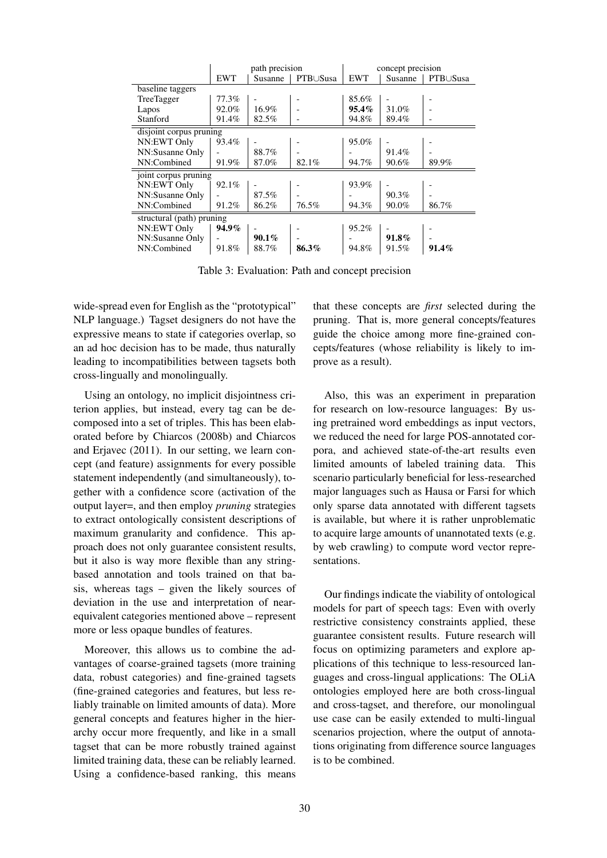|                           | path precision |          | concept precision |            |         |          |
|---------------------------|----------------|----------|-------------------|------------|---------|----------|
|                           | <b>EWT</b>     | Susanne  | PTB∪Susa          | <b>EWT</b> | Susanne | PTB∪Susa |
| baseline taggers          |                |          |                   |            |         |          |
| TreeTagger                | 77.3%          |          |                   | 85.6%      |         |          |
| Lapos                     | 92.0%          | 16.9%    |                   | $95.4\%$   | 31.0%   |          |
| Stanford                  | 91.4%          | 82.5%    |                   | 94.8%      | 89.4%   |          |
| disjoint corpus pruning   |                |          |                   |            |         |          |
| NN:EWT Only               | 93.4%          |          |                   | 95.0%      |         |          |
| NN:Susanne Only           |                | 88.7%    |                   |            | 91.4%   |          |
| NN:Combined               | 91.9%          | 87.0%    | 82.1%             | 94.7%      | 90.6%   | 89.9%    |
| joint corpus pruning      |                |          |                   |            |         |          |
| NN:EWT Only               | 92.1%          |          |                   | 93.9%      |         |          |
| NN:Susanne Only           |                | 87.5%    |                   |            | 90.3%   |          |
| NN:Combined               | 91.2%          | 86.2%    | 76.5%             | 94.3%      | 90.0%   | 86.7%    |
| structural (path) pruning |                |          |                   |            |         |          |
| NN:EWT Only               | 94.9%          |          |                   | 95.2%      |         |          |
| NN:Susanne Only           |                | $90.1\%$ |                   |            | 91.8%   |          |
| NN:Combined               | 91.8%          | 88.7%    | 86.3%             | 94.8%      | 91.5%   | $91.4\%$ |

Table 3: Evaluation: Path and concept precision

wide-spread even for English as the "prototypical" NLP language.) Tagset designers do not have the expressive means to state if categories overlap, so an ad hoc decision has to be made, thus naturally leading to incompatibilities between tagsets both cross-lingually and monolingually.

Using an ontology, no implicit disjointness criterion applies, but instead, every tag can be decomposed into a set of triples. This has been elaborated before by Chiarcos (2008b) and Chiarcos and Erjavec (2011). In our setting, we learn concept (and feature) assignments for every possible statement independently (and simultaneously), together with a confidence score (activation of the output layer=, and then employ *pruning* strategies to extract ontologically consistent descriptions of maximum granularity and confidence. This approach does not only guarantee consistent results, but it also is way more flexible than any stringbased annotation and tools trained on that basis, whereas tags – given the likely sources of deviation in the use and interpretation of nearequivalent categories mentioned above – represent more or less opaque bundles of features.

Moreover, this allows us to combine the advantages of coarse-grained tagsets (more training data, robust categories) and fine-grained tagsets (fine-grained categories and features, but less reliably trainable on limited amounts of data). More general concepts and features higher in the hierarchy occur more frequently, and like in a small tagset that can be more robustly trained against limited training data, these can be reliably learned. Using a confidence-based ranking, this means that these concepts are *first* selected during the pruning. That is, more general concepts/features guide the choice among more fine-grained concepts/features (whose reliability is likely to improve as a result).

Also, this was an experiment in preparation for research on low-resource languages: By using pretrained word embeddings as input vectors, we reduced the need for large POS-annotated corpora, and achieved state-of-the-art results even limited amounts of labeled training data. This scenario particularly beneficial for less-researched major languages such as Hausa or Farsi for which only sparse data annotated with different tagsets is available, but where it is rather unproblematic to acquire large amounts of unannotated texts (e.g. by web crawling) to compute word vector representations.

Our findings indicate the viability of ontological models for part of speech tags: Even with overly restrictive consistency constraints applied, these guarantee consistent results. Future research will focus on optimizing parameters and explore applications of this technique to less-resourced languages and cross-lingual applications: The OLiA ontologies employed here are both cross-lingual and cross-tagset, and therefore, our monolingual use case can be easily extended to multi-lingual scenarios projection, where the output of annotations originating from difference source languages is to be combined.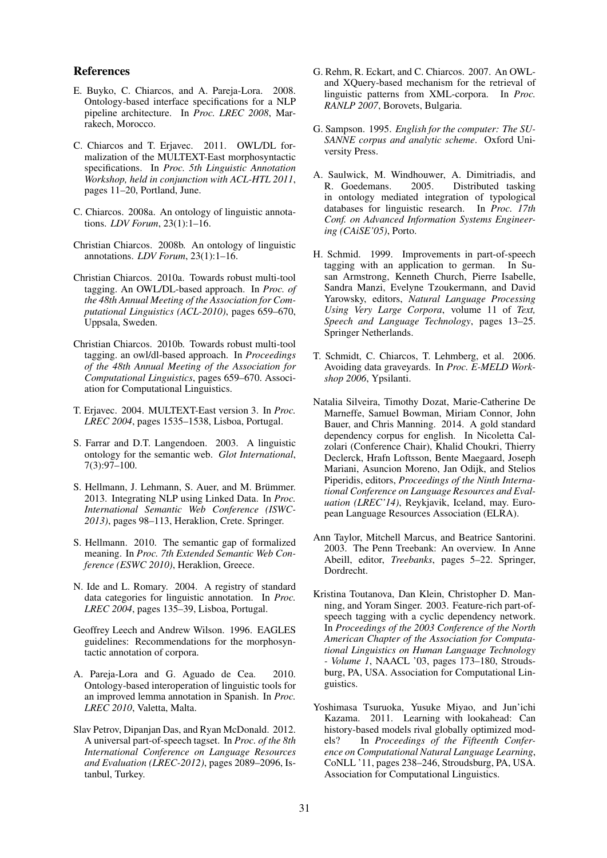#### References

- E. Buyko, C. Chiarcos, and A. Pareja-Lora. 2008. Ontology-based interface specifications for a NLP pipeline architecture. In *Proc. LREC 2008*, Marrakech, Morocco.
- C. Chiarcos and T. Erjavec. 2011. OWL/DL formalization of the MULTEXT-East morphosyntactic specifications. In *Proc. 5th Linguistic Annotation Workshop, held in conjunction with ACL-HTL 2011*, pages 11–20, Portland, June.
- C. Chiarcos. 2008a. An ontology of linguistic annotations. *LDV Forum*, 23(1):1–16.
- Christian Chiarcos. 2008b. An ontology of linguistic annotations. *LDV Forum*, 23(1):1–16.
- Christian Chiarcos. 2010a. Towards robust multi-tool tagging. An OWL/DL-based approach. In *Proc. of the 48th Annual Meeting of the Association for Computational Linguistics (ACL-2010)*, pages 659–670, Uppsala, Sweden.
- Christian Chiarcos. 2010b. Towards robust multi-tool tagging. an owl/dl-based approach. In *Proceedings of the 48th Annual Meeting of the Association for Computational Linguistics*, pages 659–670. Association for Computational Linguistics.
- T. Erjavec. 2004. MULTEXT-East version 3. In *Proc. LREC 2004*, pages 1535–1538, Lisboa, Portugal.
- S. Farrar and D.T. Langendoen. 2003. A linguistic ontology for the semantic web. *Glot International*, 7(3):97–100.
- S. Hellmann, J. Lehmann, S. Auer, and M. Brümmer. 2013. Integrating NLP using Linked Data. In *Proc. International Semantic Web Conference (ISWC-2013)*, pages 98–113, Heraklion, Crete. Springer.
- S. Hellmann. 2010. The semantic gap of formalized meaning. In *Proc. 7th Extended Semantic Web Conference (ESWC 2010)*, Heraklion, Greece.
- N. Ide and L. Romary. 2004. A registry of standard data categories for linguistic annotation. In *Proc. LREC 2004*, pages 135–39, Lisboa, Portugal.
- Geoffrey Leech and Andrew Wilson. 1996. EAGLES guidelines: Recommendations for the morphosyntactic annotation of corpora.
- A. Pareja-Lora and G. Aguado de Cea. 2010. Ontology-based interoperation of linguistic tools for an improved lemma annotation in Spanish. In *Proc. LREC 2010*, Valetta, Malta.
- Slav Petrov, Dipanjan Das, and Ryan McDonald. 2012. A universal part-of-speech tagset. In *Proc. of the 8th International Conference on Language Resources and Evaluation (LREC-2012)*, pages 2089–2096, Istanbul, Turkey.
- G. Rehm, R. Eckart, and C. Chiarcos. 2007. An OWLand XQuery-based mechanism for the retrieval of linguistic patterns from XML-corpora. In *Proc. RANLP 2007*, Borovets, Bulgaria.
- G. Sampson. 1995. *English for the computer: The SU-SANNE corpus and analytic scheme*. Oxford University Press.
- A. Saulwick, M. Windhouwer, A. Dimitriadis, and R. Goedemans. 2005. Distributed tasking in ontology mediated integration of typological databases for linguistic research. In *Proc. 17th Conf. on Advanced Information Systems Engineering (CAiSE'05)*, Porto.
- H. Schmid. 1999. Improvements in part-of-speech tagging with an application to german. In Susan Armstrong, Kenneth Church, Pierre Isabelle, Sandra Manzi, Evelyne Tzoukermann, and David Yarowsky, editors, *Natural Language Processing Using Very Large Corpora*, volume 11 of *Text, Speech and Language Technology*, pages 13–25. Springer Netherlands.
- T. Schmidt, C. Chiarcos, T. Lehmberg, et al. 2006. Avoiding data graveyards. In *Proc. E-MELD Workshop 2006*, Ypsilanti.
- Natalia Silveira, Timothy Dozat, Marie-Catherine De Marneffe, Samuel Bowman, Miriam Connor, John Bauer, and Chris Manning. 2014. A gold standard dependency corpus for english. In Nicoletta Calzolari (Conference Chair), Khalid Choukri, Thierry Declerck, Hrafn Loftsson, Bente Maegaard, Joseph Mariani, Asuncion Moreno, Jan Odijk, and Stelios Piperidis, editors, *Proceedings of the Ninth International Conference on Language Resources and Evaluation (LREC'14)*, Reykjavik, Iceland, may. European Language Resources Association (ELRA).
- Ann Taylor, Mitchell Marcus, and Beatrice Santorini. 2003. The Penn Treebank: An overview. In Anne Abeill, editor, *Treebanks*, pages 5–22. Springer, Dordrecht.
- Kristina Toutanova, Dan Klein, Christopher D. Manning, and Yoram Singer. 2003. Feature-rich part-ofspeech tagging with a cyclic dependency network. In *Proceedings of the 2003 Conference of the North American Chapter of the Association for Computational Linguistics on Human Language Technology - Volume 1*, NAACL '03, pages 173–180, Stroudsburg, PA, USA. Association for Computational Linguistics.
- Yoshimasa Tsuruoka, Yusuke Miyao, and Jun'ichi Kazama. 2011. Learning with lookahead: Can history-based models rival globally optimized models? In *Proceedings of the Fifteenth Conference on Computational Natural Language Learning*, CoNLL '11, pages 238–246, Stroudsburg, PA, USA. Association for Computational Linguistics.